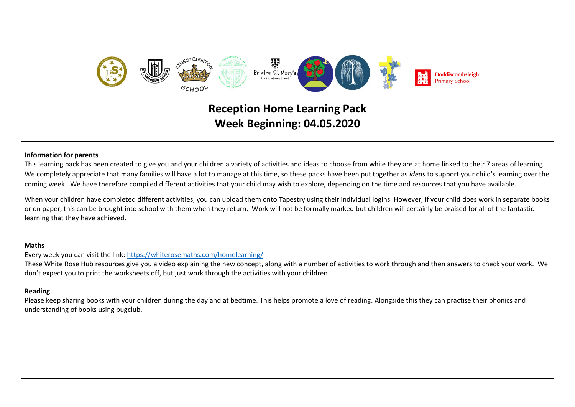

# **Reception Home Learning Pack Week Beginning: 04.05.2020**

#### **Information for parents**

This learning pack has been created to give you and your children a variety of activities and ideas to choose from while they are at home linked to their 7 areas of learning. We completely appreciate that many families will have a lot to manage at this time, so these packs have been put together as *ideas* to support your child's learning over the coming week. We have therefore compiled different activities that your child may wish to explore, depending on the time and resources that you have available.

When your children have completed different activities, you can upload them onto Tapestry using their individual logins. However, if your child does work in separate books or on paper, this can be brought into school with them when they return. Work will not be formally marked but children will certainly be praised for all of the fantastic learning that they have achieved.

#### **Maths**

Every week you can visit the link:<https://whiterosemaths.com/homelearning/>

These White Rose Hub resources give you a video explaining the new concept, along with a number of activities to work through and then answers to check your work. We don't expect you to print the worksheets off, but just work through the activities with your children.

### **Reading**

Please keep sharing books with your children during the day and at bedtime. This helps promote a love of reading. Alongside this they can practise their phonics and understanding of books using bugclub.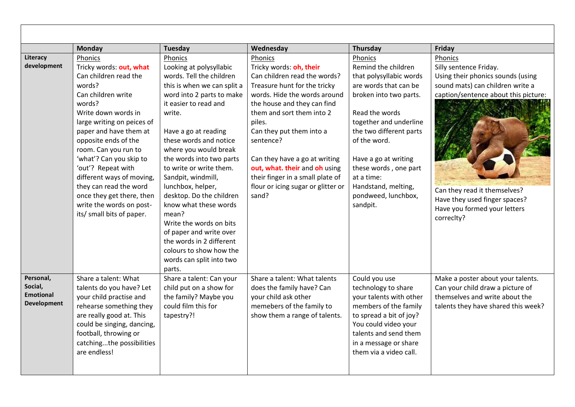|                                                                | Monday                                                                                                                                                                                                                                                                                                                                                                                                                             | Tuesday                                                                                                                                                                                                                                                                                                                                                                                                                                                                                                                                                     | Wednesday                                                                                                                                                                                                                                                                                                                                                                                              | <b>Thursday</b>                                                                                                                                                                                                                                                                                                              | Friday                                                                                                                                                                                                                                                            |
|----------------------------------------------------------------|------------------------------------------------------------------------------------------------------------------------------------------------------------------------------------------------------------------------------------------------------------------------------------------------------------------------------------------------------------------------------------------------------------------------------------|-------------------------------------------------------------------------------------------------------------------------------------------------------------------------------------------------------------------------------------------------------------------------------------------------------------------------------------------------------------------------------------------------------------------------------------------------------------------------------------------------------------------------------------------------------------|--------------------------------------------------------------------------------------------------------------------------------------------------------------------------------------------------------------------------------------------------------------------------------------------------------------------------------------------------------------------------------------------------------|------------------------------------------------------------------------------------------------------------------------------------------------------------------------------------------------------------------------------------------------------------------------------------------------------------------------------|-------------------------------------------------------------------------------------------------------------------------------------------------------------------------------------------------------------------------------------------------------------------|
| Literacy<br>development                                        | Phonics<br>Tricky words: out, what<br>Can children read the<br>words?<br>Can children write<br>words?<br>Write down words in<br>large writing on peices of<br>paper and have them at<br>opposite ends of the<br>room. Can you run to<br>'what'? Can you skip to<br>'out'? Repeat with<br>different ways of moving,<br>they can read the word<br>once they get there, then<br>write the words on post-<br>its/ small bits of paper. | Phonics<br>Looking at polysyllabic<br>words. Tell the children<br>this is when we can split a<br>word into 2 parts to make<br>it easier to read and<br>write.<br>Have a go at reading<br>these words and notice<br>where you would break<br>the words into two parts<br>to write or write them.<br>Sandpit, windmill,<br>lunchbox, helper,<br>desktop. Do the children<br>know what these words<br>mean?<br>Write the words on bits<br>of paper and write over<br>the words in 2 different<br>colours to show how the<br>words can split into two<br>parts. | Phonics<br>Tricky words: oh, their<br>Can children read the words?<br>Treasure hunt for the tricky<br>words. Hide the words around<br>the house and they can find<br>them and sort them into 2<br>piles.<br>Can they put them into a<br>sentence?<br>Can they have a go at writing<br>out, what. their and oh using<br>their finger in a small plate of<br>flour or icing sugar or glitter or<br>sand? | Phonics<br>Remind the children<br>that polysyllabic words<br>are words that can be<br>broken into two parts.<br>Read the words<br>together and underline<br>the two different parts<br>of the word.<br>Have a go at writing<br>these words, one part<br>at a time:<br>Handstand, melting,<br>pondweed, lunchbox,<br>sandpit. | Phonics<br>Silly sentence Friday.<br>Using their phonics sounds (using<br>sound mats) can children write a<br>caption/sentence about this picture:<br>Can they read it themselves?<br>Have they used finger spaces?<br>Have you formed your letters<br>correclty? |
| Personal,<br>Social,<br><b>Emotional</b><br><b>Development</b> | Share a talent: What<br>talents do you have? Let<br>your child practise and<br>rehearse something they<br>are really good at. This<br>could be singing, dancing,<br>football, throwing or<br>catchingthe possibilities<br>are endless!                                                                                                                                                                                             | Share a talent: Can your<br>child put on a show for<br>the family? Maybe you<br>could film this for<br>tapestry?!                                                                                                                                                                                                                                                                                                                                                                                                                                           | Share a talent: What talents<br>does the family have? Can<br>your child ask other<br>memebers of the family to<br>show them a range of talents.                                                                                                                                                                                                                                                        | Could you use<br>technology to share<br>your talents with other<br>members of the family<br>to spread a bit of joy?<br>You could video your<br>talents and send them<br>in a message or share<br>them via a video call.                                                                                                      | Make a poster about your talents.<br>Can your child draw a picture of<br>themselves and write about the<br>talents they have shared this week?                                                                                                                    |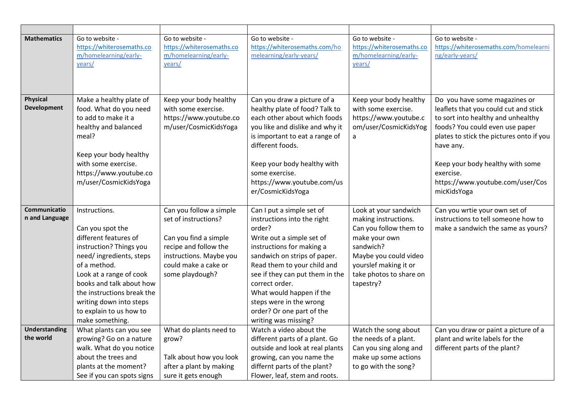| <b>Mathematics</b>                | Go to website -<br>https://whiterosemaths.co<br>m/homelearning/early-<br>years/                                                                                                                                                                                                                | Go to website -<br>https://whiterosemaths.co<br>m/homelearning/early-<br>years/                                                                                         | Go to website -<br>https://whiterosemaths.com/ho<br>melearning/early-years/                                                                                                                                                                                                                                                                                  | Go to website -<br>https://whiterosemaths.co<br>m/homelearning/early-<br>years/                                                                                                                 | Go to website -<br>https://whiterosemaths.com/homelearni<br>ng/early-years/                                                                                                                                                                                                                                  |
|-----------------------------------|------------------------------------------------------------------------------------------------------------------------------------------------------------------------------------------------------------------------------------------------------------------------------------------------|-------------------------------------------------------------------------------------------------------------------------------------------------------------------------|--------------------------------------------------------------------------------------------------------------------------------------------------------------------------------------------------------------------------------------------------------------------------------------------------------------------------------------------------------------|-------------------------------------------------------------------------------------------------------------------------------------------------------------------------------------------------|--------------------------------------------------------------------------------------------------------------------------------------------------------------------------------------------------------------------------------------------------------------------------------------------------------------|
| Physical<br><b>Development</b>    | Make a healthy plate of<br>food. What do you need<br>to add to make it a<br>healthy and balanced<br>meal?<br>Keep your body healthy<br>with some exercise.<br>https://www.youtube.co<br>m/user/CosmicKidsYoga                                                                                  | Keep your body healthy<br>with some exercise.<br>https://www.youtube.co<br>m/user/CosmicKidsYoga                                                                        | Can you draw a picture of a<br>healthy plate of food? Talk to<br>each other about which foods<br>you like and dislike and why it<br>is important to eat a range of<br>different foods.<br>Keep your body healthy with<br>some exercise.<br>https://www.youtube.com/us<br>er/CosmicKidsYoga                                                                   | Keep your body healthy<br>with some exercise.<br>https://www.youtube.c<br>om/user/CosmicKidsYog<br>a                                                                                            | Do you have some magazines or<br>leaflets that you could cut and stick<br>to sort into healthy and unhealthy<br>foods? You could even use paper<br>plates to stick the pictures onto if you<br>have any.<br>Keep your body healthy with some<br>exercise.<br>https://www.youtube.com/user/Cos<br>micKidsYoga |
| Communicatio<br>n and Language    | Instructions.<br>Can you spot the<br>different features of<br>instruction? Things you<br>need/ingredients, steps<br>of a method.<br>Look at a range of cook<br>books and talk about how<br>the instructions break the<br>writing down into steps<br>to explain to us how to<br>make something. | Can you follow a simple<br>set of instructions?<br>Can you find a simple<br>recipe and follow the<br>instructions. Maybe you<br>could make a cake or<br>some playdough? | Can I put a simple set of<br>instructions into the right<br>order?<br>Write out a simple set of<br>instructions for making a<br>sandwich on strips of paper.<br>Read them to your child and<br>see if they can put them in the<br>correct order.<br>What would happen if the<br>steps were in the wrong<br>order? Or one part of the<br>writing was missing? | Look at your sandwich<br>making instructions.<br>Can you follow them to<br>make your own<br>sandwich?<br>Maybe you could video<br>yourslef making it or<br>take photos to share on<br>tapestry? | Can you wrtie your own set of<br>instructions to tell someone how to<br>make a sandwich the same as yours?                                                                                                                                                                                                   |
| <b>Understanding</b><br>the world | What plants can you see<br>growing? Go on a nature<br>walk. What do you notice<br>about the trees and<br>plants at the moment?<br>See if you can spots signs                                                                                                                                   | What do plants need to<br>grow?<br>Talk about how you look<br>after a plant by making<br>sure it gets enough                                                            | Watch a video about the<br>different parts of a plant. Go<br>outside and look at real plants<br>growing, can you name the<br>differnt parts of the plant?<br>Flower, leaf, stem and roots.                                                                                                                                                                   | Watch the song about<br>the needs of a plant.<br>Can you sing along and<br>make up some actions<br>to go with the song?                                                                         | Can you draw or paint a picture of a<br>plant and write labels for the<br>different parts of the plant?                                                                                                                                                                                                      |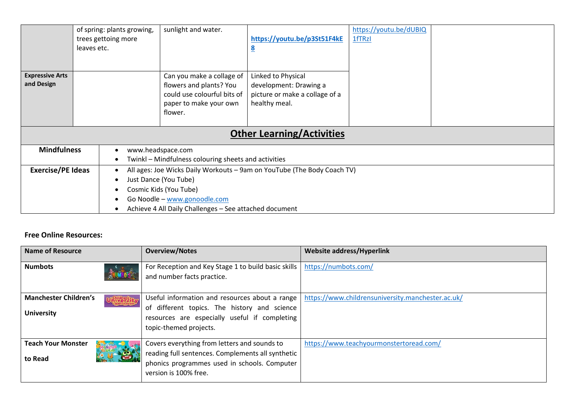|                                      | of spring: plants growing,<br>trees gettoing more<br>leaves etc.                                                                                                                                                                  | sunlight and water.                                                                                                      | https://youtu.be/p3St51F4kE<br>$\overline{\mathbf{8}}$                                          | https://youtu.be/dUBIQ<br>1fTRzI |  |
|--------------------------------------|-----------------------------------------------------------------------------------------------------------------------------------------------------------------------------------------------------------------------------------|--------------------------------------------------------------------------------------------------------------------------|-------------------------------------------------------------------------------------------------|----------------------------------|--|
| <b>Expressive Arts</b><br>and Design |                                                                                                                                                                                                                                   | Can you make a collage of<br>flowers and plants? You<br>could use colourful bits of<br>paper to make your own<br>flower. | Linked to Physical<br>development: Drawing a<br>picture or make a collage of a<br>healthy meal. |                                  |  |
| <b>Other Learning/Activities</b>     |                                                                                                                                                                                                                                   |                                                                                                                          |                                                                                                 |                                  |  |
| <b>Mindfulness</b>                   | www.headspace.com<br>Twinkl – Mindfulness colouring sheets and activities                                                                                                                                                         |                                                                                                                          |                                                                                                 |                                  |  |
| <b>Exercise/PE Ideas</b>             | All ages: Joe Wicks Daily Workouts - 9am on YouTube (The Body Coach TV)<br>Just Dance (You Tube)<br>$\bullet$<br>Cosmic Kids (You Tube)<br>Go Noodle - www.gonoodle.com<br>Achieve 4 All Daily Challenges - See attached document |                                                                                                                          |                                                                                                 |                                  |  |

## **Free Online Resources:**

| Name of Resource                                                        | <b>Overview/Notes</b>                                                                                                                                                        | <b>Website address/Hyperlink</b>                  |
|-------------------------------------------------------------------------|------------------------------------------------------------------------------------------------------------------------------------------------------------------------------|---------------------------------------------------|
| <b>Numbots</b>                                                          | For Reception and Key Stage 1 to build basic skills<br>and number facts practice.                                                                                            | https://numbots.com/                              |
| <b>Manchester Children's</b><br><b>This Calify</b><br><b>University</b> | Useful information and resources about a range<br>of different topics. The history and science<br>resources are especially useful if completing<br>topic-themed projects.    | https://www.childrensuniversity.manchester.ac.uk/ |
| <b>Teach Your Monster</b><br>to Read                                    | Covers everything from letters and sounds to<br>reading full sentences. Complements all synthetic  <br>phonics programmes used in schools. Computer<br>version is 100% free. | https://www.teachyourmonstertoread.com/           |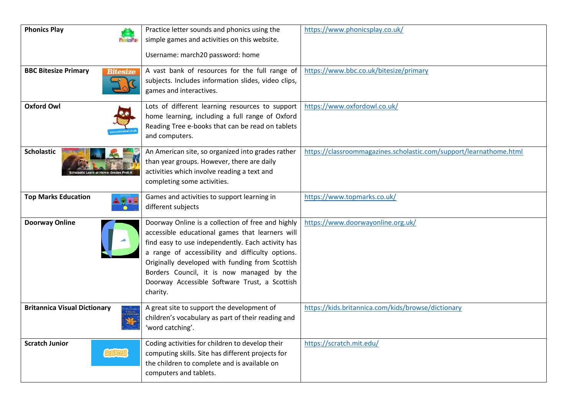| <b>Phonics Play</b>                                      | Practice letter sounds and phonics using the<br>simple games and activities on this website.<br>Username: march20 password: home                                                                                                                                                                                                                                           | https://www.phonicsplay.co.uk/                                     |
|----------------------------------------------------------|----------------------------------------------------------------------------------------------------------------------------------------------------------------------------------------------------------------------------------------------------------------------------------------------------------------------------------------------------------------------------|--------------------------------------------------------------------|
| <b>BBC Bitesize Primary</b><br><b>Bitesize</b>           | A vast bank of resources for the full range of<br>subjects. Includes information slides, video clips,<br>games and interactives.                                                                                                                                                                                                                                           | https://www.bbc.co.uk/bitesize/primary                             |
| <b>Oxford Owl</b>                                        | Lots of different learning resources to support<br>home learning, including a full range of Oxford<br>Reading Tree e-books that can be read on tablets<br>and computers.                                                                                                                                                                                                   | https://www.oxfordowl.co.uk/                                       |
| <b>Scholastic</b><br>lastic Learn at Home: Grades PreK-I | An American site, so organized into grades rather<br>than year groups. However, there are daily<br>activities which involve reading a text and<br>completing some activities.                                                                                                                                                                                              | https://classroommagazines.scholastic.com/support/learnathome.html |
| <b>Top Marks Education</b>                               | Games and activities to support learning in<br>different subjects                                                                                                                                                                                                                                                                                                          | https://www.topmarks.co.uk/                                        |
| <b>Doorway Online</b>                                    | Doorway Online is a collection of free and highly<br>accessible educational games that learners will<br>find easy to use independently. Each activity has<br>a range of accessibility and difficulty options.<br>Originally developed with funding from Scottish<br>Borders Council, it is now managed by the<br>Doorway Accessible Software Trust, a Scottish<br>charity. | https://www.doorwayonline.org.uk/                                  |
| <b>Britannica Visual Dictionary</b>                      | A great site to support the development of<br>children's vocabulary as part of their reading and<br>'word catching'.                                                                                                                                                                                                                                                       | https://kids.britannica.com/kids/browse/dictionary                 |
| <b>Scratch Junior</b><br>SCRATCH                         | Coding activities for children to develop their<br>computing skills. Site has different projects for<br>the children to complete and is available on<br>computers and tablets.                                                                                                                                                                                             | https://scratch.mit.edu/                                           |